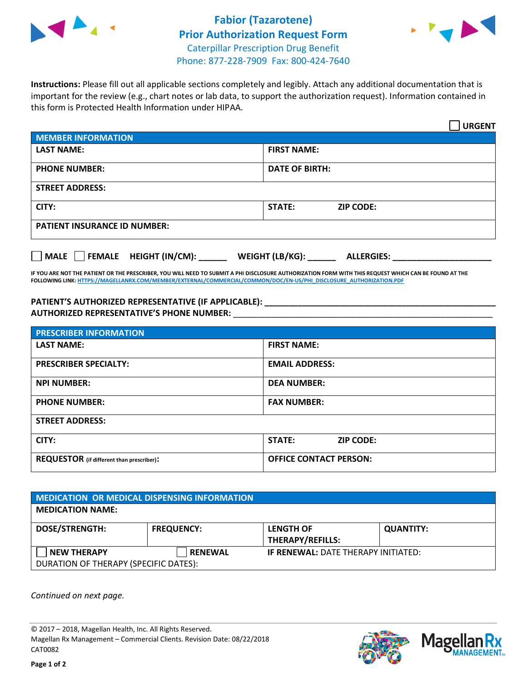



**Instructions:** Please fill out all applicable sections completely and legibly. Attach any additional documentation that is important for the review (e.g., chart notes or lab data, to support the authorization request). Information contained in this form is Protected Health Information under HIPAA.

|                                            | <b>URGENT</b>                        |  |  |  |
|--------------------------------------------|--------------------------------------|--|--|--|
| <b>MEMBER INFORMATION</b>                  |                                      |  |  |  |
| <b>LAST NAME:</b>                          | <b>FIRST NAME:</b>                   |  |  |  |
| <b>PHONE NUMBER:</b>                       | <b>DATE OF BIRTH:</b>                |  |  |  |
| <b>STREET ADDRESS:</b>                     |                                      |  |  |  |
| CITY:                                      | STATE:<br><b>ZIP CODE:</b>           |  |  |  |
| <b>PATIENT INSURANCE ID NUMBER:</b>        |                                      |  |  |  |
| FEMALE HEIGHT (IN/CM):<br>$ $ MALE $ $ $ $ | WEIGHT (LB/KG):<br><b>ALLERGIES:</b> |  |  |  |

**IF YOU ARE NOT THE PATIENT OR THE PRESCRIBER, YOU WILL NEED TO SUBMIT A PHI DISCLOSURE AUTHORIZATION FORM WITH THIS REQUEST WHICH CAN BE FOUND AT THE FOLLOWING LINK[: HTTPS://MAGELLANRX.COM/MEMBER/EXTERNAL/COMMERCIAL/COMMON/DOC/EN-US/PHI\\_DISCLOSURE\\_AUTHORIZATION.PDF](https://magellanrx.com/member/external/commercial/common/doc/en-us/PHI_Disclosure_Authorization.pdf)**

**PATIENT'S AUTHORIZED REPRESENTATIVE (IF APPLICABLE): \_\_\_\_\_\_\_\_\_\_\_\_\_\_\_\_\_\_\_\_\_\_\_\_\_\_\_\_\_\_\_\_\_\_\_\_\_\_\_\_\_\_\_\_\_\_\_\_\_ AUTHORIZED REPRESENTATIVE'S PHONE NUMBER:** \_\_\_\_\_\_\_\_\_\_\_\_\_\_\_\_\_\_\_\_\_\_\_\_\_\_\_\_\_\_\_\_\_\_\_\_\_\_\_\_\_\_\_\_\_\_\_\_\_\_\_\_\_\_\_

| <b>PRESCRIBER INFORMATION</b>             |                               |  |  |
|-------------------------------------------|-------------------------------|--|--|
| <b>LAST NAME:</b>                         | <b>FIRST NAME:</b>            |  |  |
| <b>PRESCRIBER SPECIALTY:</b>              | <b>EMAIL ADDRESS:</b>         |  |  |
| <b>NPI NUMBER:</b>                        | <b>DEA NUMBER:</b>            |  |  |
| <b>PHONE NUMBER:</b>                      | <b>FAX NUMBER:</b>            |  |  |
| <b>STREET ADDRESS:</b>                    |                               |  |  |
| CITY:                                     | STATE:<br><b>ZIP CODE:</b>    |  |  |
| REQUESTOR (if different than prescriber): | <b>OFFICE CONTACT PERSON:</b> |  |  |

| <b>MEDICATION OR MEDICAL DISPENSING INFORMATION</b> |                   |                                             |                  |  |  |
|-----------------------------------------------------|-------------------|---------------------------------------------|------------------|--|--|
| <b>MEDICATION NAME:</b>                             |                   |                                             |                  |  |  |
| <b>DOSE/STRENGTH:</b>                               | <b>FREQUENCY:</b> | <b>LENGTH OF</b><br><b>THERAPY/REFILLS:</b> | <b>QUANTITY:</b> |  |  |
| <b>NEW THERAPY</b>                                  | <b>RENEWAL</b>    | <b>IF RENEWAL: DATE THERAPY INITIATED:</b>  |                  |  |  |
| DURATION OF THERAPY (SPECIFIC DATES):               |                   |                                             |                  |  |  |

*Continued on next page.*

© 2017 – 2018, Magellan Health, Inc. All Rights Reserved. Magellan Rx Management – Commercial Clients. Revision Date: 08/22/2018 CAT0082